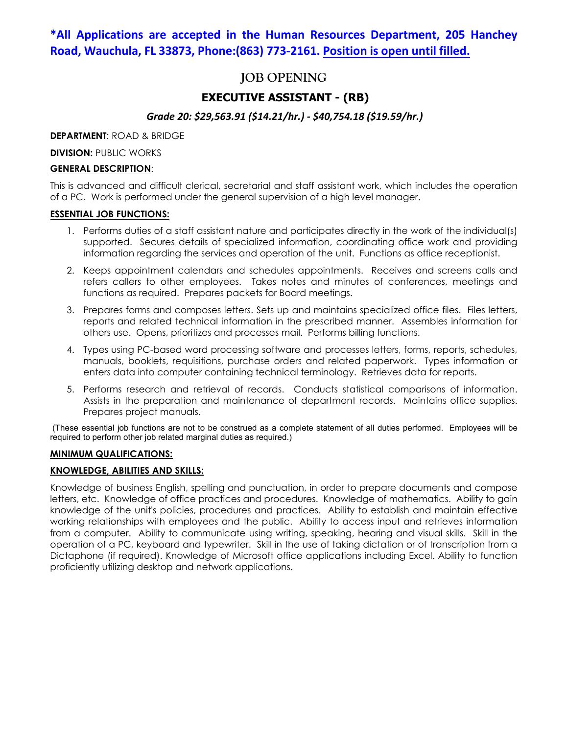## **\*All Applications are accepted in the Human Resources Department, 205 Hanchey Road, Wauchula, FL 33873, Phone:(863) 773-2161. Position is open until filled.**

# **JOB OPENING**

## **EXECUTIVE ASSISTANT - (RB)**

## *Grade 20: \$29,563.91 (\$14.21/hr.) - \$40,754.18 (\$19.59/hr.)*

**DEPARTMENT**: ROAD & BRIDGE

**DIVISION: PUBLIC WORKS** 

## **GENERAL DESCRIPTION**:

This is advanced and difficult clerical, secretarial and staff assistant work, which includes the operation of a PC. Work is performed under the general supervision of a high level manager.

### **ESSENTIAL JOB FUNCTIONS:**

- 1. Performs duties of a staff assistant nature and participates directly in the work of the individual(s) supported. Secures details of specialized information, coordinating office work and providing information regarding the services and operation of the unit. Functions as office receptionist.
- 2. Keeps appointment calendars and schedules appointments. Receives and screens calls and refers callers to other employees. Takes notes and minutes of conferences, meetings and functions as required. Prepares packets for Board meetings.
- 3. Prepares forms and composes letters. Sets up and maintains specialized office files. Files letters, reports and related technical information in the prescribed manner. Assembles information for others use. Opens, prioritizes and processes mail. Performs billing functions.
- 4. Types using PC-based word processing software and processes letters, forms, reports, schedules, manuals, booklets, requisitions, purchase orders and related paperwork. Types information or enters data into computer containing technical terminology. Retrieves data for reports.
- 5. Performs research and retrieval of records. Conducts statistical comparisons of information. Assists in the preparation and maintenance of department records. Maintains office supplies. Prepares project manuals.

(These essential job functions are not to be construed as a complete statement of all duties performed. Employees will be required to perform other job related marginal duties as required.)

## **MINIMUM QUALIFICATIONS:**

## **KNOWLEDGE, ABILITIES AND SKILLS:**

Knowledge of business English, spelling and punctuation, in order to prepare documents and compose letters, etc. Knowledge of office practices and procedures. Knowledge of mathematics. Ability to gain knowledge of the unit's policies, procedures and practices. Ability to establish and maintain effective working relationships with employees and the public. Ability to access input and retrieves information from a computer. Ability to communicate using writing, speaking, hearing and visual skills. Skill in the operation of a PC, keyboard and typewriter. Skill in the use of taking dictation or of transcription from a Dictaphone (if required). Knowledge of Microsoft office applications including Excel. Ability to function proficiently utilizing desktop and network applications.